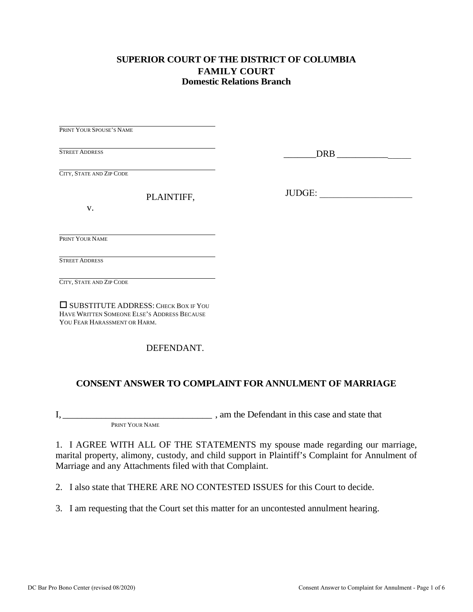#### **SUPERIOR COURT OF THE DISTRICT OF COLUMBIA FAMILY COURT Domestic Relations Branch**

PRINT YOUR SPOUSE'S NAME STREET ADDRESS CITY, STATE AND ZIP CODE PLAINTIFF, v. PRINT YOUR NAME STREET ADDRESS

CITY, STATE AND ZIP CODE

 SUBSTITUTE ADDRESS: CHECK BOX IF YOU HAVE WRITTEN SOMEONE ELSE'S ADDRESS BECAUSE YOU FEAR HARASSMENT OR HARM.

DEFENDANT.

### **CONSENT ANSWER TO COMPLAINT FOR ANNULMENT OF MARRIAGE**

I, \_\_\_\_\_\_\_\_\_\_\_\_\_\_\_\_\_\_\_\_\_\_\_\_\_\_\_\_\_\_\_ , am the Defendant in this case and state that

PRINT YOUR NAME

1. I AGREE WITH ALL OF THE STATEMENTS my spouse made regarding our marriage, marital property, alimony, custody, and child support in Plaintiff's Complaint for Annulment of Marriage and any Attachments filed with that Complaint.

2. I also state that THERE ARE NO CONTESTED ISSUES for this Court to decide.

3. I am requesting that the Court set this matter for an uncontested annulment hearing.

\_\_\_\_\_\_\_DRB \_\_\_\_\_\_\_\_\_\_\_\_\_\_\_\_

JUDGE: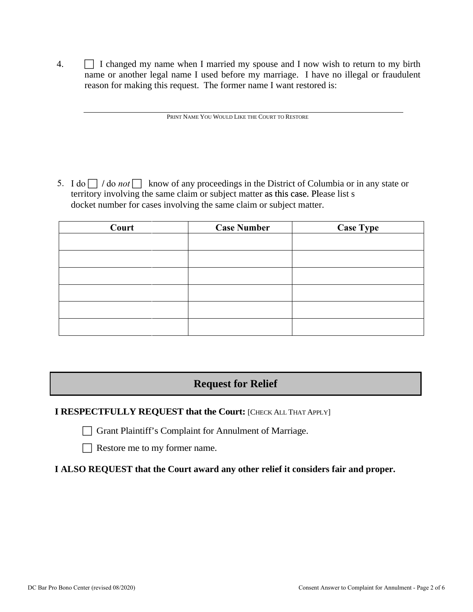4.  $\Box$  I changed my name when I married my spouse and I now wish to return to my birth name or another legal name I used before my marriage. I have no illegal or fraudulent reason for making this request. The former name I want restored is:

PRINT NAME YOU WOULD LIKE THE COURT TO RESTORE

5. I do  $\Box$  / do *not*  $\Box$  know of any proceedings in the District of Columbia or in any state or territory involving the same claim or subject matter as this case. Please list s docket number for cases involving the same claim or subject matter.

| Court | <b>Case Number</b> | <b>Case Type</b> |
|-------|--------------------|------------------|
|       |                    |                  |
|       |                    |                  |
|       |                    |                  |
|       |                    |                  |
|       |                    |                  |
|       |                    |                  |
|       |                    |                  |

# **Request for Relief**

### **I RESPECTFULLY REQUEST that the Court: [CHECK ALL THAT APPLY]**

Grant Plaintiff's Complaint for Annulment of Marriage.

Restore me to my former name.

**I ALSO REQUEST that the Court award any other relief it considers fair and proper.**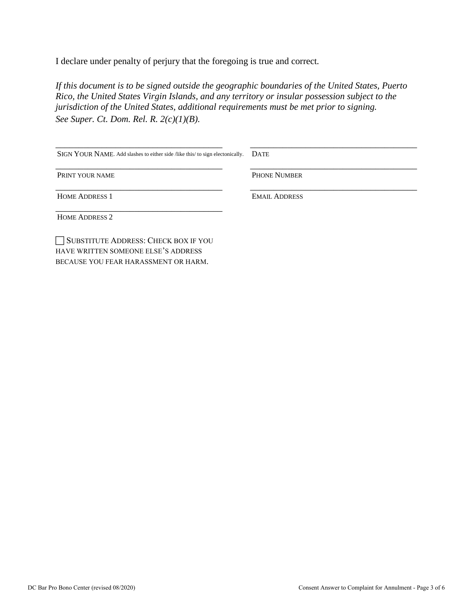I declare under penalty of perjury that the foregoing is true and correct*.* 

*If this document is to be signed outside the geographic boundaries of the United States, Puerto Rico, the United States Virgin Islands, and any territory or insular possession subject to the jurisdiction of the United States, additional requirements must be met prior to signing. See Super. Ct. Dom. Rel. R. 2(c)(1)(B).*

| SIGN YOUR NAME. Add slashes to either side /like this/ to sign electonically. | <b>DATE</b>          |
|-------------------------------------------------------------------------------|----------------------|
| PRINT YOUR NAME                                                               | <b>PHONE NUMBER</b>  |
| <b>HOME ADDRESS 1</b>                                                         | <b>EMAIL ADDRESS</b> |
| <b>HOME ADDRESS 2</b>                                                         |                      |
| SUBSTITUTE ADDRESS: CHECK BOX IF YOU<br>HAVE WRITTEN SOMEONE ELSE'S ADDRESS   |                      |

BECAUSE YOU FEAR HARASSMENT OR HARM.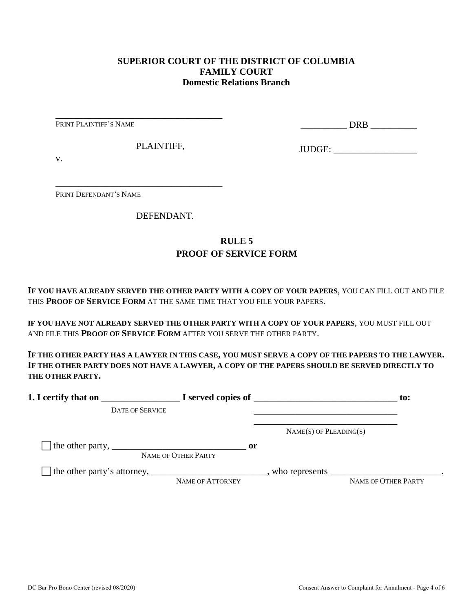#### **SUPERIOR COURT OF THE DISTRICT OF COLUMBIA FAMILY COURT Domestic Relations Branch**

PRINT PLAINTIFF'S NAME

\_\_\_\_\_\_\_\_\_\_ DRB \_\_\_\_\_\_\_\_\_\_

PLAINTIFF,

\_\_\_\_\_\_\_\_\_\_\_\_\_\_\_\_\_\_\_\_\_\_\_\_\_\_\_\_\_\_\_\_\_\_\_\_

\_\_\_\_\_\_\_\_\_\_\_\_\_\_\_\_\_\_\_\_\_\_\_\_\_\_\_\_\_\_\_\_\_\_\_\_

JUDGE: \_\_\_\_\_\_\_\_\_\_\_\_\_\_\_\_\_\_

v.

PRINT DEFENDANT'S NAME

DEFENDANT.

## **RULE 5 PROOF OF SERVICE FORM**

**IF YOU HAVE ALREADY SERVED THE OTHER PARTY WITH A COPY OF YOUR PAPERS**, YOU CAN FILL OUT AND FILE THIS **PROOF OF SERVICE FORM** AT THE SAME TIME THAT YOU FILE YOUR PAPERS.

**IF YOU HAVE NOT ALREADY SERVED THE OTHER PARTY WITH A COPY OF YOUR PAPERS**, YOU MUST FILL OUT AND FILE THIS **PROOF OF SERVICE FORM** AFTER YOU SERVE THE OTHER PARTY.

**IF THE OTHER PARTY HAS A LAWYER IN THIS CASE, YOU MUST SERVE A COPY OF THE PAPERS TO THE LAWYER. IF THE OTHER PARTY DOES NOT HAVE A LAWYER, A COPY OF THE PAPERS SHOULD BE SERVED DIRECTLY TO THE OTHER PARTY.** 

| 1. I certify that on                                                                                      |                                      | $\blacksquare$ $\blacksquare$ I served copies of $\blacksquare$ | $\mathbf{to}$ :     |
|-----------------------------------------------------------------------------------------------------------|--------------------------------------|-----------------------------------------------------------------|---------------------|
| <b>DATE OF SERVICE</b>                                                                                    |                                      |                                                                 |                     |
|                                                                                                           |                                      | $NAME(S)$ OF PLEADING(S)                                        |                     |
| The other party, $\frac{1}{\sqrt{1-\frac{1}{2}}}\left\{1-\frac{1}{2}\right\}$                             | $\mathbf{or}$<br>NAME OF OTHER PARTY |                                                                 |                     |
| The other party's attorney, _______________________________, who represents ____________________________. | NAME OF ATTORNEY                     |                                                                 | NAME OF OTHER PARTY |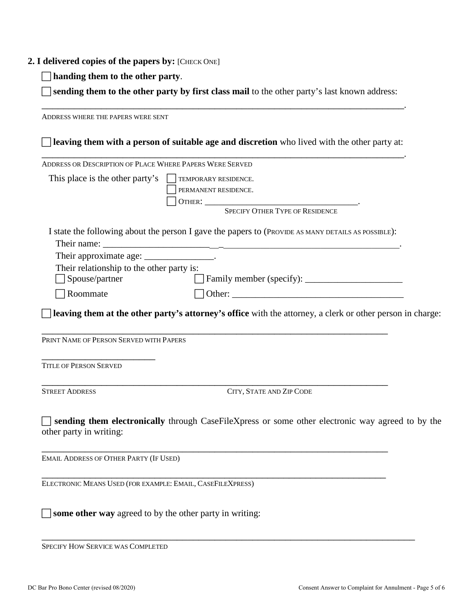#### **2. I delivered copies of the papers by:** [CHECK ONE]

**handing them to the other party**.

 **sending them to the other party by first class mail** to the other party's last known address: \_\_\_\_\_\_\_\_\_\_\_\_\_\_\_\_\_\_\_\_\_\_\_\_\_\_\_\_\_\_\_\_\_\_\_\_\_\_\_\_\_\_\_\_\_\_\_\_\_\_\_\_\_\_\_\_\_\_\_\_\_\_\_\_\_\_\_.

ADDRESS WHERE THE PAPERS WERE SENT **leaving them with a person of suitable age and discretion** who lived with the other party at: \_\_\_\_\_\_\_\_\_\_\_\_\_\_\_\_\_\_\_\_\_\_\_\_\_\_\_\_\_\_\_\_\_\_\_\_\_\_\_\_\_\_\_\_\_\_\_\_\_\_\_\_\_\_\_\_\_\_\_\_\_\_\_\_\_\_\_. ADDRESS OR DESCRIPTION OF PLACE WHERE PAPERS WERE SERVED This place is the other party's  $\Box$  TEMPORARY RESIDENCE. PERMANENT RESIDENCE. OTHER: \_\_\_\_\_\_\_\_\_\_\_\_\_\_\_\_\_\_\_\_\_\_\_\_\_\_\_\_\_\_\_\_\_. SPECIFY OTHER TYPE OF RESIDENCE I state the following about the person I gave the papers to (PROVIDE AS MANY DETAILS AS POSSIBLE): Their name: Their approximate age: \_\_\_\_\_\_\_\_\_\_\_\_\_\_\_\_. Their relationship to the other party is: Spouse/partner Family member (specify): \_\_\_\_\_\_\_\_\_\_\_\_\_\_\_\_\_\_\_\_\_  $\Box$  Roommate  $\Box$  Other: **leaving them at the other party's attorney's office** with the attorney, a clerk or other person in charge: \_\_\_\_\_\_\_\_\_\_\_\_\_\_\_\_\_\_\_\_\_\_\_\_\_\_\_\_\_\_\_\_\_\_\_\_\_\_\_\_\_\_\_\_\_\_\_\_\_\_\_\_\_\_\_\_\_\_\_\_\_\_\_\_ PRINT NAME OF PERSON SERVED WITH PAPERS \_\_\_\_\_\_\_\_\_\_\_\_\_\_\_\_\_\_\_\_\_ TITLE OF PERSON SERVED \_\_\_\_\_\_\_\_\_\_\_\_\_\_\_\_\_\_\_\_\_\_\_\_\_\_\_\_\_\_\_\_\_\_\_\_\_\_\_\_\_\_\_\_\_\_\_\_\_\_\_\_\_\_\_\_\_\_\_\_\_\_\_\_ STREET ADDRESS CITY, STATE AND ZIP CODE **sending them electronically** through CaseFileXpress or some other electronic way agreed to by the other party in writing: \_\_\_\_\_\_\_\_\_\_\_\_\_\_\_\_\_\_\_\_\_\_\_\_\_\_\_\_\_\_\_\_\_\_\_\_\_\_\_\_\_\_\_\_\_\_\_\_\_\_\_\_\_\_\_\_\_\_\_\_\_\_\_\_ EMAIL ADDRESS OF OTHER PARTY (IF USED) \_\_\_\_\_\_\_\_\_\_\_\_\_\_\_\_\_\_\_\_\_\_\_\_\_\_\_\_\_\_\_\_\_\_\_\_\_\_\_\_\_\_\_\_\_\_\_\_\_\_\_\_\_\_\_\_\_\_\_\_\_\_\_\_ ELECTRONIC MEANS USED (FOR EXAMPLE: EMAIL, CASEFILEXPRESS) **some other way** agreed to by the other party in writing:

\_\_\_\_\_\_\_\_\_\_\_\_\_\_\_\_\_\_\_\_\_\_\_\_\_\_\_\_\_\_\_\_\_\_\_\_\_\_\_\_\_\_\_\_\_\_\_\_\_\_\_\_\_\_\_\_\_\_\_\_\_\_\_\_\_\_\_\_\_ SPECIFY HOW SERVICE WAS COMPLETED